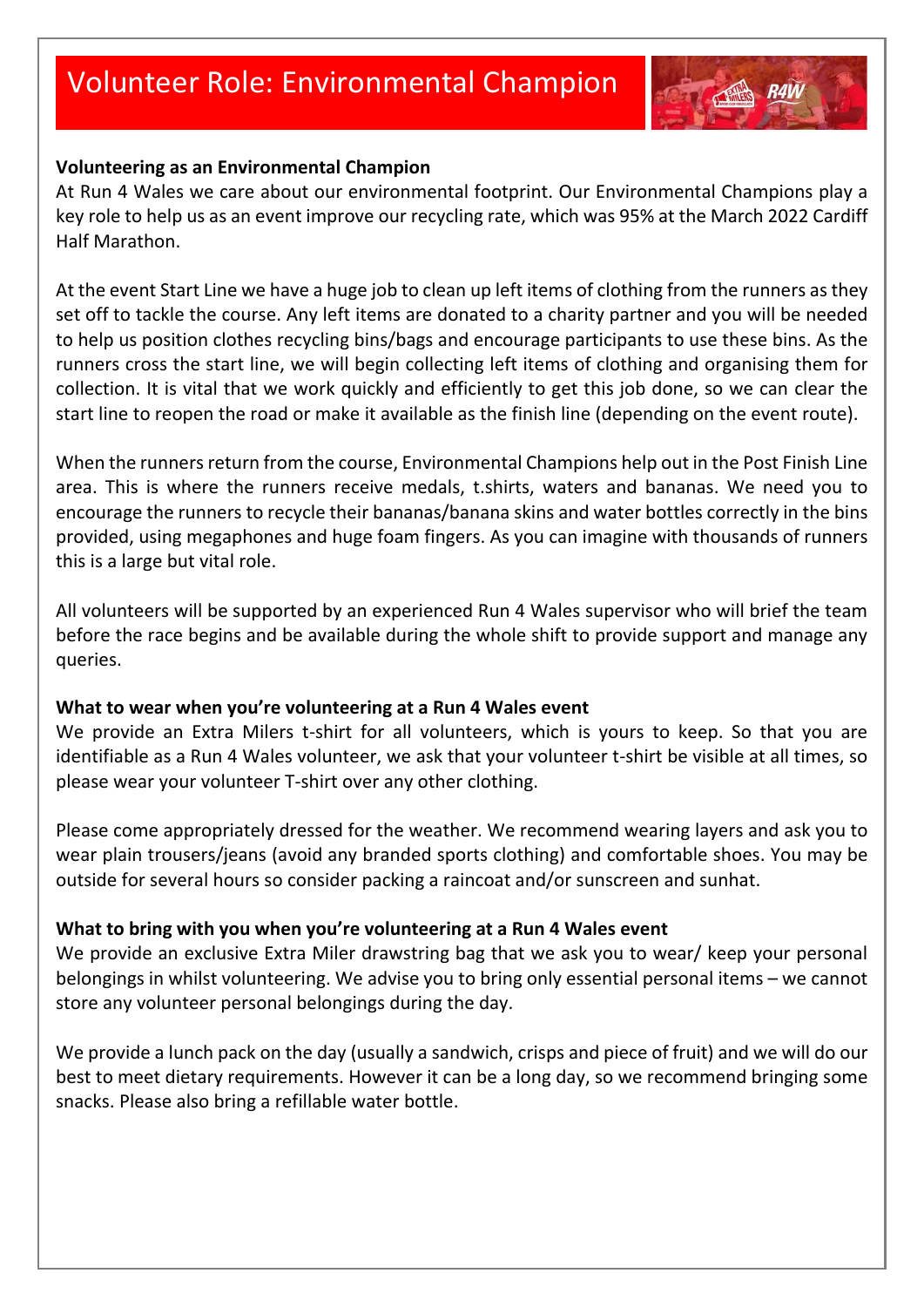

At Run 4 Wales we care about our environmental footprint. Our Environmental Champions play a key role to help us as an event improve our recycling rate, which was 95% at the March 2022 Cardiff Half Marathon.

At the event Start Line we have a huge job to clean up left items of clothing from the runners as they set off to tackle the course. Any left items are donated to a charity partner and you will be needed to help us position clothes recycling bins/bags and encourage participants to use these bins. As the runners cross the start line, we will begin collecting left items of clothing and organising them for collection. It is vital that we work quickly and efficiently to get this job done, so we can clear the start line to reopen the road or make it available as the finish line (depending on the event route).

When the runners return from the course, Environmental Champions help out in the Post Finish Line area. This is where the runners receive medals, t.shirts, waters and bananas. We need you to encourage the runners to recycle their bananas/banana skins and water bottles correctly in the bins provided, using megaphones and huge foam fingers. As you can imagine with thousands of runners this is a large but vital role.

All volunteers will be supported by an experienced Run 4 Wales supervisor who will brief the team before the race begins and be available during the whole shift to provide support and manage any queries.

#### **What to wear when you're volunteering at a Run 4 Wales event**

We provide an Extra Milers t-shirt for all volunteers, which is yours to keep. So that you are identifiable as a Run 4 Wales volunteer, we ask that your volunteer t-shirt be visible at all times, so please wear your volunteer T-shirt over any other clothing.

Please come appropriately dressed for the weather. We recommend wearing layers and ask you to wear plain trousers/jeans (avoid any branded sports clothing) and comfortable shoes. You may be outside for several hours so consider packing a raincoat and/or sunscreen and sunhat.

#### **What to bring with you when you're volunteering at a Run 4 Wales event**

We provide an exclusive Extra Miler drawstring bag that we ask you to wear/ keep your personal belongings in whilst volunteering. We advise you to bring only essential personal items – we cannot store any volunteer personal belongings during the day.

We provide a lunch pack on the day (usually a sandwich, crisps and piece of fruit) and we will do our best to meet dietary requirements. However it can be a long day, so we recommend bringing some snacks. Please also bring a refillable water bottle.